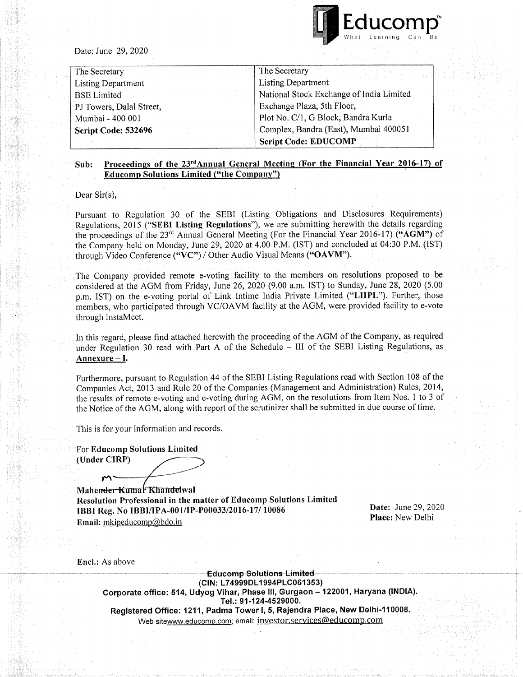

Date: June 29, 2020

| The Secretary            | The Secretary                            |  |
|--------------------------|------------------------------------------|--|
| Listing Department       | <b>Listing Department</b>                |  |
| <b>BSE</b> Limited       | National Stock Exchange of India Limited |  |
| PJ Towers, Dalal Street, | Exchange Plaza, 5th Floor,               |  |
| Mumbai - 400 001         | Plot No. C/1, G Block, Bandra Kurla      |  |
| Script Code: 532696      | Complex, Bandra (East), Mumbai 400051    |  |
|                          | <b>Script Code: EDUCOMP</b>              |  |

## Sub: Proceedings of the 23<sup>rd</sup>Annual General Meeting (For the Financial Year 2016-17) of Educomp Solutions Limited ("the Company")

Dear Sir(s),

Pursuant to Regulation 30 of the SEBI (Listing Obligations and Disclosures Requirements) Regulations, <sup>2015</sup> ("SEBI Listing Regulations"), we are submitting herewith the details regarding the proceedings of the 23<sup>rd</sup> Annual General Meeting (For the Financial Year 2016-17) ("AGM") of the Company held on Monday, June 29, <sup>2020</sup> at 4.00 P.M. (1ST) and concluded at 04:30 P.M. (1ST) through Video Conference ("VC") / Other Audio Visual Means ("OAVM").

The Company provided remote e-voting facility to the members on resolutions proposed to be considered at the AGM from Friday, June 26, 2020 (9.00 a.m. 1ST) to Sunday, June 28, 2020 (5.00 p.m. 1ST) on the e-voting portal of Link lntime India Private Limited ("LHPL"). Further, those members, who participated through VC/OA VM facility at the AGM, were provided facility to e-vote through lnstaMeet.

In this regard, please find attached herewith the proceeding of the AGM of the Company, as required under Regulation 30 read with Part A of the Schedule - III of the SEBI Listing Regulations, as Annexure - I.

Furthermore, pursuant to Regulation <sup>44</sup> of the SEBI Listing Regulations read with Section <sup>108</sup> of the Companies Act, <sup>2013</sup> and Rule <sup>20</sup> of the Companies (Management and Administration) Rules, 2014, the results of remote e-voting and e-voting during AGM, on the resolutions from Item Nos. <sup>1</sup> to 3 of the Notice of the AGM, along with report of the scrutinizer shall be submitted in due course of time.

This is for your information and records.

For Educomp Solutions Limited (Under CIRP)

Mahender Kumar Khandelwal Resolution Professional in the matter of Educomp Solutions Limited IBBI Reg. No IBBI/IPA-001/IP-P00033/20l6-17/ 10086 Email: mkipeducomp@bdo.in

Date: June 29, 2020 Place: New Delhi

Encl.: As above

**Educomp-Solutions-Limited-**(CIN: L74999DL 1994PLC061353) Corporate office: 514, Udyog Vihar, Phase III, Gurgaon - 122001, Haryana (INDIA). Tel.: 91-124-4529000. Registered Office: 1211, Padma Tower I, 5, Rajendra Place, New Delhi-110008. Web sitewww.educomp.com; email: investor.services@educomp.com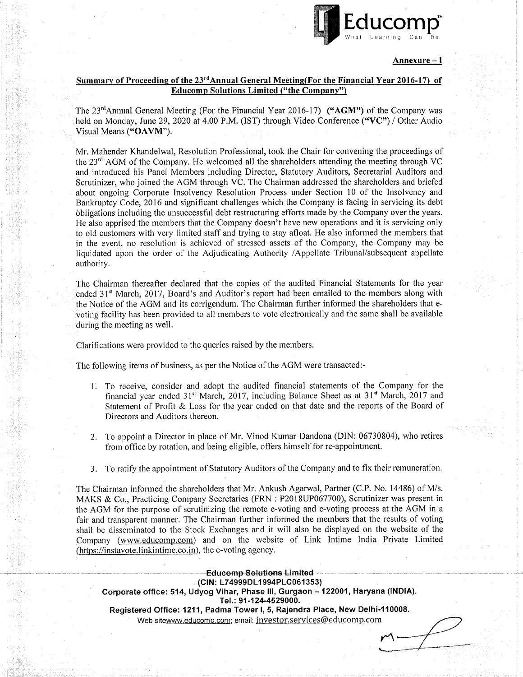

M

 $\cdot$   $\cdot$ 

o

## <u>Annexure – I</u>

## Summary of Proceeding of the 23<sup>rd</sup> Annual General Meeting(For the Financial Year 2016-17) of Educomp Solutions Limited ("the Company")

The 23<sup>rd</sup>Annual General Meeting (For the Financial Year 2016-17) ("AGM") of the Company was held on Monday, June 29, 2020 at 4.00 P.M. (IST) through Video Conference ("VC") / Other Audio Visual Means ("OAVM").

Mr. Mahender Khandelwal, Resolution Professional, took the Chair for convening the proceedings of the  $23<sup>rd</sup>$  AGM of the Company. He welcomed all the shareholders attending the meeting through VC and introduced his Panel Members including Director, Statutory Auditors, Secretarial Auditors and Scrutinizer, who joined the AGM through VC. The Chairman addressed the shareholders and briefed about ongoing Corporate Insolvency Resolution Process under Section 10 of the Insolvency and Bankruptcy Code, 2016 and significant challenges which the Company is facing in servicing its debt obligations including the unsuccessful debt restructuring efforts made by the Company over the years. He also apprised the members that the Company doesn't have new operations and it is servicing only to old customers with very limited staff and trying to stay afloat. He also informed the members that in the event, no resolution is achieved of stressed assets of the Company, the Company may be liquidated upon the order of the Adjudicating Authority /Appellate Tribunal/subsequent appellate authority.

The Chairman thereafter declared that the copies of the audited Financial Statements for the year ended  $31<sup>st</sup>$  March, 2017, Board's and Auditor's report had been emailed to the members along with the Notice of the AGM and its corrigendum. The Chairman further informed the shareholders that e voting facility has been provided to all members to vote electronically and the same shall be available during the meeting as well.

Clarifications were provided to the queries raised by the members.

The following items of business, as per the Notice of the AGM were transacted:-

- 1. To receive, consider and adopt the audited financial statements of the Company for the financial year ended  $31<sup>st</sup>$  March, 2017, including Balance Sheet as at  $31<sup>st</sup>$  March, 2017 and Statement of Profit & Loss for the year ended on that date and the reports of the Board of Directors and Auditors thereon.
- 2. To appoint <sup>a</sup> Director in place of Mr. Vinod Kumar Dandona (DIN: 06730804), who retires from office by rotation, and being eligible, offers himself for re-appointment.
- 3. To ratify the appointment of Statutory Auditors of the Company and to fix their remuneration.

The Chairman informed the shareholders that Mr. Ankush Agarwal, Partner (C.P. No. 14486) of M/s. MAKS & Co., Practicing Company Secretaries (FRN : P2018UP067700), Scrutinizer was present in the AGM for the purpose of scrutinizing the remote e-voting and e-voting process at the AGM in <sup>a</sup> fair and transparent manner. The Chairman further informed the members that the results of voting shall be disseminated to the Stock Exchanges and it will also be displayed on the website of the Company (www.educomp.com) and on the website of Link Intime India Private Limited  $(\text{https://instavote.linkintime.co.in)}$ , the e-voting agency.

**Educomp Solutions Limited** (CIN: L74999DL 1994PLC061353) Corporate office: 514, Udyog Vihar, Phase III, Gurgaon - 122001, Haryana (INDIA). Tel.: 91-124-4529000. Registered Office: 1211, Padma Tower I, 5, Rajendra Place, New Delhi-110008. Web sitewww.educomp.com; email: investor.services@educomp.com